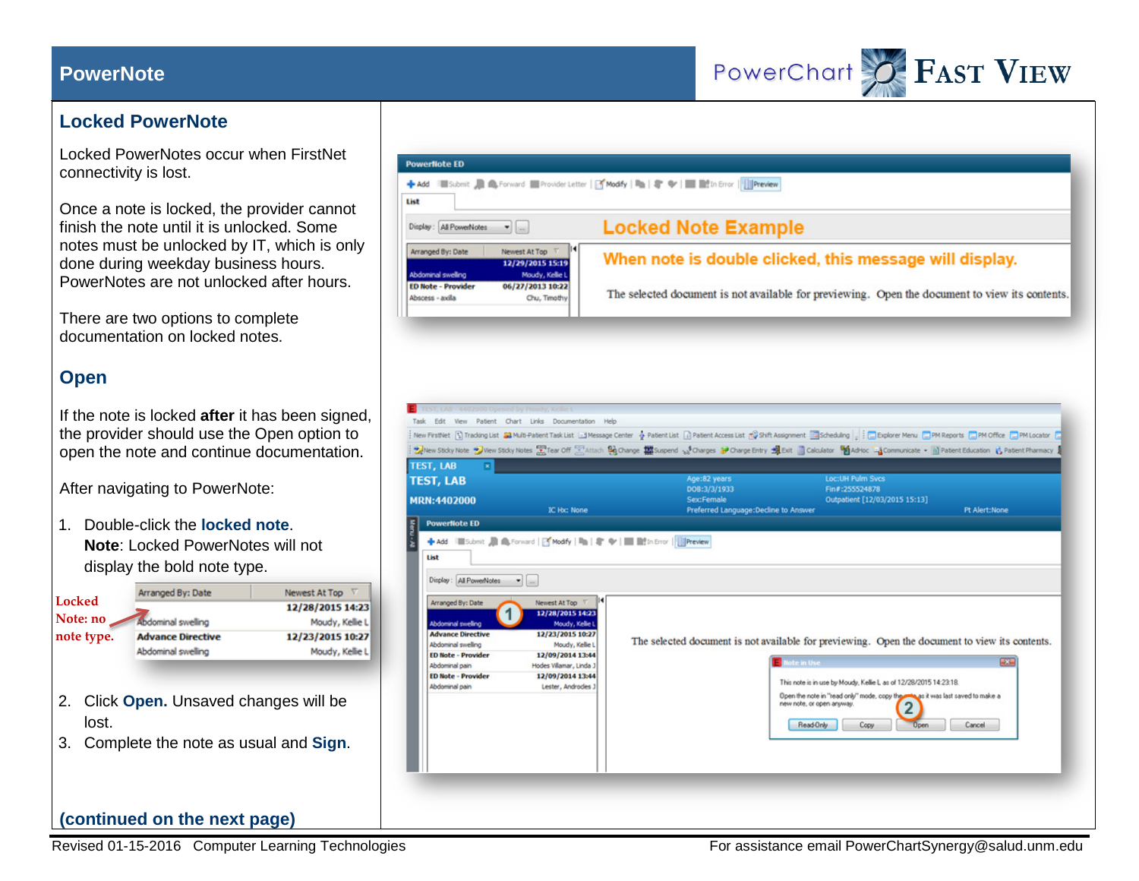## **PowerNote**



## **Locked PowerNote**

Locked PowerNotes occur when FirstNet connectivity is lost.

Once a note is locked, the provider cannot finish the note until it is unlocked. Some notes must be unlocked by IT, which is only done during weekday business hours. PowerNotes are not unlocked after hours.

There are two options to complete documentation on locked notes.

## **Open**

If the note is locked **after** it has been signed, the provider should use the Open option to open the note and continue documentation.

After navigating to PowerNote:

1. Double-click the **locked note**. **Note**: Locked PowerNotes will not display the bold note type.

| Locked      | Arranged By: Date                                                              | Newest At Top    |
|-------------|--------------------------------------------------------------------------------|------------------|
|             |                                                                                | 12/28/2015 14:23 |
| Note: no    | Abdominal swelling                                                             | Moudy, Kellie L  |
| note type.  | <b>Advance Directive</b>                                                       | 12/23/2015 10:27 |
|             | Abdominal swelling                                                             | Moudy, Kellie L  |
| lost.<br>3. | 2. Click Open. Unsaved changes will be<br>Complete the note as usual and Sign. |                  |
|             | (continued on the next page)                                                   |                  |